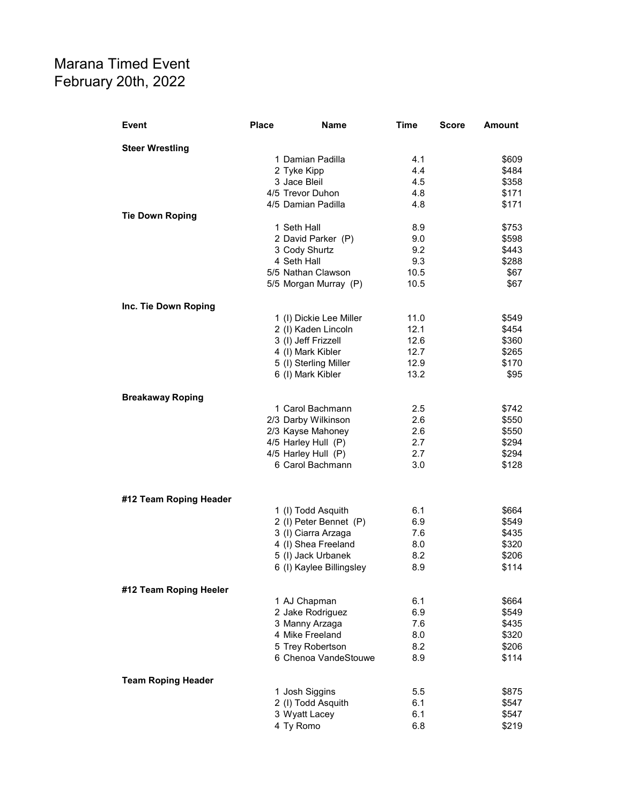## Marana Timed Event February 20th, 2022

| Event                     | <b>Place</b> | Name                                    | Time       | <b>Score</b> | <b>Amount</b>  |
|---------------------------|--------------|-----------------------------------------|------------|--------------|----------------|
| <b>Steer Wrestling</b>    |              |                                         |            |              |                |
|                           |              | 1 Damian Padilla                        | 4.1        |              | \$609          |
|                           |              | 2 Tyke Kipp                             | 4.4        |              | \$484          |
|                           |              | 3 Jace Bleil                            | 4.5        |              | \$358          |
|                           |              | 4/5 Trevor Duhon                        | 4.8        |              | \$171          |
|                           |              | 4/5 Damian Padilla                      | 4.8        |              | \$171          |
| <b>Tie Down Roping</b>    |              | 1 Seth Hall                             | 8.9        |              | \$753          |
|                           |              | 2 David Parker (P)                      | 9.0        |              | \$598          |
|                           |              | 3 Cody Shurtz                           | 9.2        |              | \$443          |
|                           |              | 4 Seth Hall                             | 9.3        |              | \$288          |
|                           |              | 5/5 Nathan Clawson                      | 10.5       |              | \$67           |
|                           |              | 5/5 Morgan Murray (P)                   | 10.5       |              | \$67           |
| Inc. Tie Down Roping      |              |                                         |            |              |                |
|                           |              | 1 (I) Dickie Lee Miller                 | 11.0       |              | \$549          |
|                           |              | 2 (I) Kaden Lincoln                     | 12.1       |              | \$454          |
|                           |              | 3 (I) Jeff Frizzell                     | 12.6       |              | \$360          |
|                           |              | 4 (I) Mark Kibler                       | 12.7       |              | \$265          |
|                           |              | 5 (I) Sterling Miller                   | 12.9       |              | \$170          |
|                           |              | 6 (I) Mark Kibler                       | 13.2       |              | \$95           |
| <b>Breakaway Roping</b>   |              |                                         |            |              |                |
|                           |              | 1 Carol Bachmann                        | 2.5        |              | \$742          |
|                           |              | 2/3 Darby Wilkinson                     | 2.6        |              | \$550          |
|                           |              | 2/3 Kayse Mahoney                       | 2.6        |              | \$550          |
|                           |              | 4/5 Harley Hull (P)                     | 2.7        |              | \$294          |
|                           |              | 4/5 Harley Hull (P)<br>6 Carol Bachmann | 2.7<br>3.0 |              | \$294<br>\$128 |
|                           |              |                                         |            |              |                |
| #12 Team Roping Header    |              |                                         |            |              |                |
|                           |              | 1 (I) Todd Asquith                      | 6.1        |              | \$664          |
|                           |              | 2 (I) Peter Bennet (P)                  | 6.9        |              | \$549          |
|                           |              | 3 (I) Ciarra Arzaga                     | 7.6        |              | \$435          |
|                           |              | 4 (I) Shea Freeland                     | 8.0        |              | \$320          |
|                           |              | 5 (I) Jack Urbanek                      | 8.2        |              | \$206          |
|                           |              | 6 (I) Kaylee Billingsley                | 8.9        |              | \$114          |
| #12 Team Roping Heeler    |              |                                         |            |              |                |
|                           |              | 1 AJ Chapman                            | 6.1        |              | \$664          |
|                           |              | 2 Jake Rodriguez                        | 6.9        |              | \$549          |
|                           |              | 3 Manny Arzaga                          | 7.6        |              | \$435          |
|                           |              | 4 Mike Freeland                         | 8.0        |              | \$320          |
|                           |              | 5 Trey Robertson                        | 8.2        |              | \$206          |
|                           |              | 6 Chenoa VandeStouwe                    | 8.9        |              | \$114          |
| <b>Team Roping Header</b> |              |                                         |            |              |                |
|                           |              | 1 Josh Siggins                          | 5.5        |              | \$875          |
|                           |              | 2 (I) Todd Asquith                      | 6.1        |              | \$547          |
|                           |              | 3 Wyatt Lacey<br>4 Ty Romo              | 6.1<br>6.8 |              | \$547<br>\$219 |
|                           |              |                                         |            |              |                |